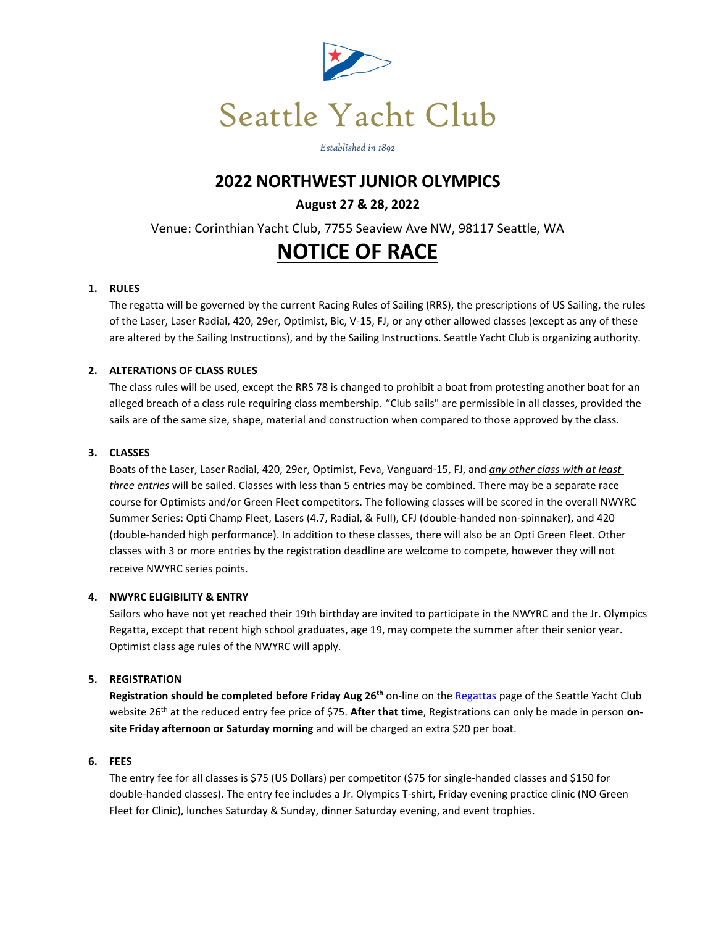

*Established in 1892*

## **2022 NORTHWEST JUNIOR OLYMPICS**

## **August 27 & 28, 2022**

Venue: Corinthian Yacht Club, 7755 Seaview Ave NW, 98117 Seattle, WA

# **NOTICE OF RACE**

## **1. RULES**

The regatta will be governed by the current Racing Rules of Sailing (RRS), the prescriptions of US Sailing, the rules of the Laser, Laser Radial, 420, 29er, Optimist, Bic, V-15, FJ, or any other allowed classes (except as any of these are altered by the Sailing Instructions), and by the Sailing Instructions. Seattle Yacht Club is organizing authority.

## **2. ALTERATIONS OF CLASS RULES**

The class rules will be used, except the RRS 78 is changed to prohibit a boat from protesting another boat for an alleged breach of a class rule requiring class membership. "Club sails" are permissible in all classes, provided the sails are of the same size, shape, material and construction when compared to those approved by the class.

## **3. CLASSES**

Boats of the Laser, Laser Radial, 420, 29er, Optimist, Feva, Vanguard-15, FJ, and *any other class with at least three entries* will be sailed. Classes with less than 5 entries may be combined. There may be a separate race course for Optimists and/or Green Fleet competitors. The following classes will be scored in the overall NWYRC Summer Series: Opti Champ Fleet, Lasers (4.7, Radial, & Full), CFJ (double-handed non-spinnaker), and 420 (double-handed high performance). In addition to these classes, there will also be an Opti Green Fleet. Other classes with 3 or more entries by the registration deadline are welcome to compete, however they will not receive NWYRC series points.

## **4. NWYRC ELIGIBILITY & ENTRY**

Sailors who have not yet reached their 19th birthday are invited to participate in the NWYRC and the Jr. Olympics Regatta, except that recent high school graduates, age 19, may compete the summer after their senior year. Optimist class age rules of the NWYRC will apply.

## **5. REGISTRATION**

**Registration should be completed before Friday Aug 26th** on-line on th[e Regattas](https://seattleyachtclub.org/web/pages/regattas) page of the Seattle Yacht Club website 26<sup>th</sup> at the reduced entry fee price of \$75. After that time, Registrations can only be made in person on**site Friday afternoon or Saturday morning** and will be charged an extra \$20 per boat.

## **6. FEES**

The entry fee for all classes is \$75 (US Dollars) per competitor (\$75 for single-handed classes and \$150 for double-handed classes). The entry fee includes a Jr. Olympics T-shirt, Friday evening practice clinic (NO Green Fleet for Clinic), lunches Saturday & Sunday, dinner Saturday evening, and event trophies.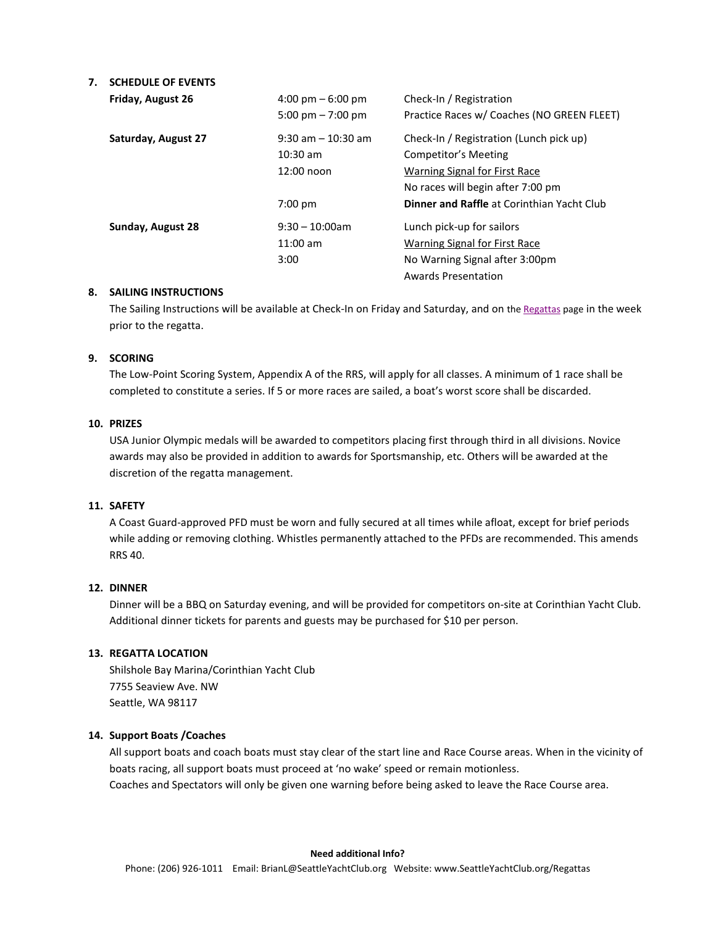## **7. SCHEDULE OF EVENTS**

| Friday, August 26   | $4:00 \text{ pm} - 6:00 \text{ pm}$<br>5:00 pm $-7:00$ pm   | Check-In / Registration<br>Practice Races w/ Coaches (NO GREEN FLEET)                                                                 |
|---------------------|-------------------------------------------------------------|---------------------------------------------------------------------------------------------------------------------------------------|
| Saturday, August 27 | $9:30$ am $-10:30$ am<br>$10:30 \text{ am}$<br>$12:00$ noon | Check-In / Registration (Lunch pick up)<br>Competitor's Meeting<br>Warning Signal for First Race<br>No races will begin after 7:00 pm |
|                     | $7:00$ pm                                                   | <b>Dinner and Raffle at Corinthian Yacht Club</b>                                                                                     |
| Sunday, August 28   | $9:30 - 10:00$ am<br>$11:00$ am<br>3:00                     | Lunch pick-up for sailors<br>Warning Signal for First Race<br>No Warning Signal after 3:00pm<br><b>Awards Presentation</b>            |

#### **8. SAILING INSTRUCTIONS**

The Sailing Instructions will be available at Check-In on Friday and Saturday, and on th[e Regattas](https://seattleyachtclub.org/web/pages/regattas) page in the week prior to the regatta.

## **9. SCORING**

The Low-Point Scoring System, Appendix A of the RRS, will apply for all classes. A minimum of 1 race shall be completed to constitute a series. If 5 or more races are sailed, a boat's worst score shall be discarded.

### **10. PRIZES**

USA Junior Olympic medals will be awarded to competitors placing first through third in all divisions. Novice awards may also be provided in addition to awards for Sportsmanship, etc. Others will be awarded at the discretion of the regatta management.

#### **11. SAFETY**

A Coast Guard-approved PFD must be worn and fully secured at all times while afloat, except for brief periods while adding or removing clothing. Whistles permanently attached to the PFDs are recommended. This amends RRS 40.

## **12. DINNER**

Dinner will be a BBQ on Saturday evening, and will be provided for competitors on-site at Corinthian Yacht Club. Additional dinner tickets for parents and guests may be purchased for \$10 per person.

#### **13. REGATTA LOCATION**

Shilshole Bay Marina/Corinthian Yacht Club 7755 Seaview Ave. NW Seattle, WA 98117

#### **14. Support Boats /Coaches**

All support boats and coach boats must stay clear of the start line and Race Course areas. When in the vicinity of boats racing, all support boats must proceed at 'no wake' speed or remain motionless. Coaches and Spectators will only be given one warning before being asked to leave the Race Course area.

#### **Need additional Info?**